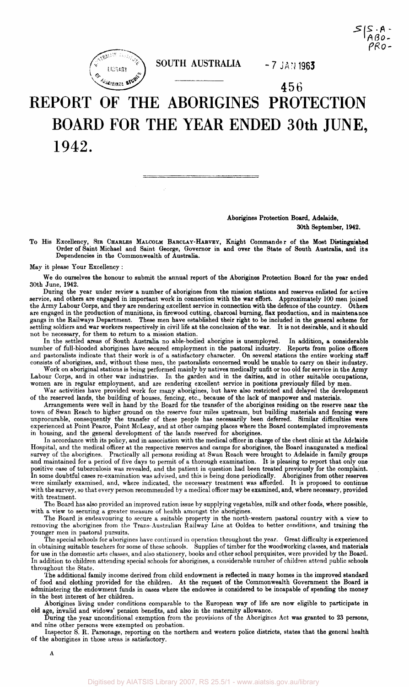



SOUTH AUSTRALIA - 7 JAN 1963

# 456 REPORT OF THE ABORIGINES PROTECTION BOARD FOR THE YEAR ENDED 30th JUNE, 1942.

#### Aborigines Protection Board, Adelaide, 30th September, 1942.

To His Excellency, SIR CHARLES MALCOLM BARCLAY-HARVEY, Knight Commander of the Most Distinguished Order of Saint Michael and Saint George, Governor in and over the State of South Australia, and its Dependencies in the Commonwealth of Australia.

May it please Your Excellency :

We do ourselves the honour to submit the annual report of the Aborigines Protection Board for the year ended 30th June, 1942.

During the year under review a number of aborigines from the mission stations and reserves enlisted for active service, and others are engaged in important work in connection with the war effort. Approximately 100 men joined the Army Labour Corps, and they are rendering excellent service in connection with the defence of the country. Others are engaged in the production of munitions, in firewood cutting, charcoal burning, flax production, and in maintenance gangs in the Railways Department. These men have established their right to be included in the general scheme for settling soldiers and war workers respectively in civil life at the conclusion of the war. It is not desirable, and it should not be necessary, for them to return to a mission station.

In the settled areas of South Australia no able-bodied aborigine is unemployed. In addition, a considerable number of full-blooded aborigines have secured employment in the pastoral industry. Reports from police officers and pastoralists indicate that their work is of a satisfactory character. On several stations the entire working staff consists of aborigines, and, without these men, the pastoralists concerned would be unable to carry on their industry.

Work on aboriginal stations is being performed mainly by natives medically unfit or too old for service in the Army Labour Corps, and in other war industries. In the garden and in the dairies, and in other suitable occupations, women are in regular employment, and are rendering excellent service in positions previously filled by men.

War activities have provided work for many aborigines, but have also restricted and delayed the development of the reserved lands, the building of houses, fencing, etc., because of the lack of manpower and materials.

Arrangements were well in hand by the Board for the transfer of the aborigines residing on the reserve near the town of Swan Reach to higher ground on the reserve four miles upstream, but building materials and fencing were unprocurable, consequently the transfer of these people has necessarily been deferred. Similar difficulties were experienced at Point Pearce, Point McLeay, and at other camping places where the Board contemplated improvements in housing, and the general development of the lands reserved for aborigines.

In accordance with its policy, and in association with the medical officer in charge of the chest clinic at the Adelaide Hospital, and the medical officer at the respective reserves and camps for aborigines, the Board inaugurated a medical survey of the aborigines. Practically all persons residing at Swan Reach were brought to Adelaide in family groups and maintained for a period of five days to permit of a thorough examination. It is pleasing to report that only one positive case of tuberculosis was revealed, and the patient in question had been treated previously for the complaint. In some doubtful cases re-examination was advised, and this is being done periodically. Aborigines from other reserves were similarly examined, and, where indicated, the necessary treatment was afforded. It is proposed to continue with the survey, so that every person recommended by a medical officer may be examined, and, where necessary, provided with treatment.

The Board has also provided an improved ration issue by supplying vegetables, milk and other foods, where possible, with a view to securing a greater measure of health amongst the aborigines.

The Board is endeavouring to secure a suitable property in the north-western pastoral country with a view to removing the aborigines from the Trans-Australian Railway Line at Ooldea to better conditions, and training the younger men in pastoral pursuits.

The special schools for aborigines have continued in operation throughout the year. Great difficulty is experienced in obtaining suitable teachers for some of these schools. Supplies of timber for the woodworking classes, and materials for use in the domestic arts classes, and also stationery, books and other school perquisites, were provided by the Board. In addition to children attending special schools for aborigines, a considerable number of children attend public schools throughout the State.

The additional family income derived from child endowment is reflected in many homes in the improved standard of food and clothing provided for the children. At the request of the Commonwealth Government the Board is administering the endowment funds in cases where the endowee is considered to be incapable of spending the money in the best interest of her children.

Aborigines living under conditions comparable to the European way of life are now eligible to participate in old age, invalid and widows' pension benefits, and also in the maternity allowance.

During the year unconditional exemption from the provisions of the Aborigines Act was granted to 23 persons, and nine other persons were exempted on probation.

Inspector S. R. Parsonage, reporting on the northern and western police districts, states that the general health of the aborigines in those areas is satisfactory.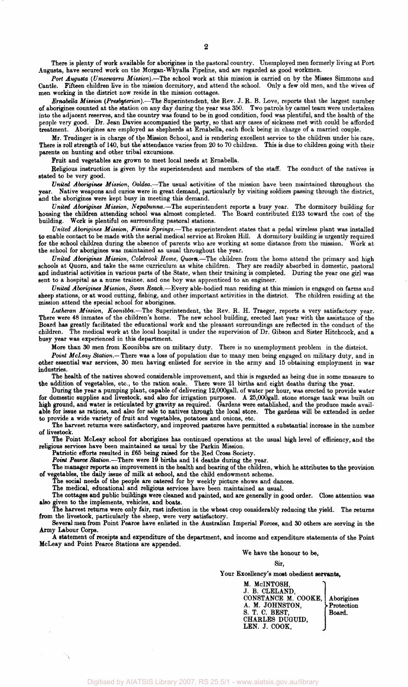There is plenty of work available for aborigines in the pastoral country. Unemployed men formerly living at Port Augusta, have secured work on the Morgan-Whyalla Pipeline, and are regarded as good workmen.

*Port Augusta (Umeewarra Mission).*—The school work at this mission is carried on by the Misses Simmons and Cantle. Fifteen children live in the mission dormitory, and attend the school. Only a few old men, and the wives of men working in the district now reside in the mission cottages.

*ErnabeUa Mission {Presbyterian).—*-The Superintendent, the Rev. J. R. B. Love, reports that the largest number of aborigines counted at the station on any day during the year was 350. Two patrols by camel team were undertaken into the adjacent reserves, and the country was found to be in good condition, food was plentiful, and the health of the people very good. Dr. Jean Davies accompanied the party, so that any cases of sickness met with could be afforded treatment. Aborigines are employed as shepherds at Ernabella, each flock being in charge of a married couple.

Mr. Trudinger is in charge of the Mission School, and is rendering excellent service to the children under his care. There is roll strength of 140, but the attendance varies from 20 to 70 children. This is due to children going with their parents on hunting and other tribal excursions.

Fruit and vegetables are grown to meet local needs at Ernabella.

Religious instruction is given by the superintendent and members of the staff. The conduct of the natives is stated to be very good.

*United Aborigines Mission, Ooldea.*—The usual activities of the mission have been maintained throughout the Native weapons and curios were in great demand, particularly by visiting soldiers passing through the district, and the aborigines were kept busy in meeting this demand.

*United Aborigines Mission, Nepabunna.*—The superintendent reports a busy year. The dormitory building for housing the children attending school was almost completed. The Board contributed £123 toward the cost of the building. Work is plentiful on surrounding pastoral stations.

*United Aborigines Mission, Finnis Springs.*—The superintendent states that a pedal wireless plant was installed to enable contact to be made with the aerial medical service at Broken Hill. A dormitory building is urgently required for the school children during the absence of parents who are working at some distance from the mission. Work at the school for aborigines was maintained as usual throughout the year.

*United Aborigines Mission, Colebrook Home, Quorn.*—The children from the home attend the primary and high schools at Quorn, and take the same curriculum as white children. They are readily absorbed in domestic, pastoral and industrial activities in various parts of the State, when their training is completed. During the year one girl was sent to a hospital as a nurse trainee, and one boy was apprenticed to an engineer.

*United Aborigines Mission, Swan Reach.*—Every able-bodied man residing at this mission is engaged on farms and sheep stations, or at wood cutting, fishing, and other important activities in the district. The children residing at the mission attend the special school for aborigines.

*Lutheran Mission, Koonibba.*—The Superintendent, the Rev. R. H. Traeger, reports a very satisfactory year. There were 48 inmates of the children's home. The new school building, erected last year with the assistance of the Board has greatly facilitated the educational work and the pleasant surroundings are reflected in the conduct of the children. The medical work at the local hospital is under the supervision of Dr. Gibson and Sister Hitchcock, and a busy year was experienced in this department.

More than 30 men from Koonibba are on military duty. There is no unemployment problem in the district.

*Point McLeay Station.*—There was a loss of population due to many men being engaged on military duty, and in other essential war services, 30 men having enlisted for service in the army and 15 obtaining employment in war industries.

The health of the natives showed considerable improvement, and this is regarded as being due in some measure to the addition of vegetables, etc., to the ration scale. There were 21 births and eight deaths during the year.

During the year a pumping plant, capable of delivering 12,000gall. of water per hour, was erected to provide water for domestic supplies and livestock, and also for irrigation purposes. A 25,000gall. stone storage tank was built on high ground, and water is reticulated by gravity as required. Gardens were established, and the produce made available for issue as rations, and also for sale to natives through the local store. The gardens will be extended in order to provide a wide variety of fruit and vegetables, potatoes and onions, etc.

The harvest returns were satisfactory, and improved pastures have permitted a substantial increase in the number of livestock.

The Point McLeay school for aborigines has continued operations at the usual high level of efficiency, and the religious services have been maintained as usual by the Parkin Mission.

Patriotic efforts resulted in £65 being raised for the Red Cross Society.

*Point Pearce Station.*—There were 19 births and 14 deaths during the year.

The manager reports an improvement in the health and bearing of the children, which he attributes to the provision of vegetables, the daily issue of milk at school, and the child endowment scheme.

The social needs of the people are catered for by weekly picture shows and dances.

The medical, educational and religious services have been maintained as usual.

The cottages and public buildings were cleaned and painted, and are generally in good order. Close attention was also given to the implements, vehicles, and boats.

The harvest returns were only fair, rust infection in the wheat crop considerably reducing the yield. The returns from the livestock, particularly the sheep, were very satisfactory.

Several men from Point Pearce have enlisted in the Australian Imperial Forces, and 30 others are serving in the Army Labour Corps.

A statement of receipts and expenditure of the department, and income and expenditure statements of the Point McLeay and Point Pearce Stations are appended.

We have the honour to be,

Sir,

Your Excellency's most obedient servants,

M. McINTOSH, J. B. CLELAND, CONSTANCE M. COOKE, Aborigines<br>A. M. JOHNSTON. Protection A. M. JOHNSTON, Protection  $S. T. C. BEST,$  Board. CHARLES DUGUID, LEN. J. COOK,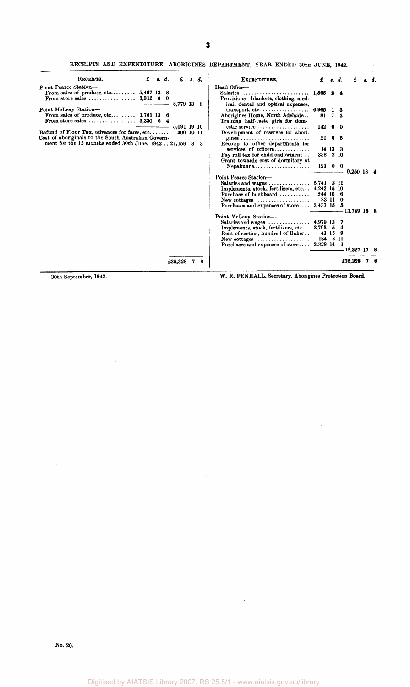RECEIPTS AND EXPENDITURE-ABORIGINES DEPARTMENT, YEAR ENDED 30TH JUNE, 1942.

| RECEIPTS.                                                                                            | £ | s. d. | £           |     | s. d. | EXPENDITURE.                                                                                 | £         | s. d.          |    |              |  |
|------------------------------------------------------------------------------------------------------|---|-------|-------------|-----|-------|----------------------------------------------------------------------------------------------|-----------|----------------|----|--------------|--|
| Point Pearce Station-                                                                                |   |       |             |     |       | Head Office-                                                                                 |           |                |    |              |  |
| From sales of produce. $etc.$ $5,467$ 13 8<br>From store sales $3.312 \quad 0 \quad 0$               |   |       | 8,779 13 8  |     |       | Salaries<br>Provisions—blankets, clothing, med-<br>ical, dental and optical expenses,        | 1,565 2 4 |                |    |              |  |
| Point McLeay Station-                                                                                |   |       |             |     |       |                                                                                              | 6,965 1 3 |                |    |              |  |
| From sales of produce, etc 1,761 13 6                                                                |   |       |             |     |       | Aborigines Home, North Adelaide<br>Training half-caste girls for dom-                        | 81        | $\overline{7}$ | -3 |              |  |
|                                                                                                      |   |       | 5,091 19 10 |     |       | estic service                                                                                | 142       | 00             |    |              |  |
| Refund of Flour Tax, advances for fares, etc.<br>Cost of aboriginals to the South Australian Govern- |   |       | 300 10 11   |     |       | Development of reserves for abori-                                                           |           | 21 6 5         |    |              |  |
| ment for the 12 months ended 30th June, 1942  21,156                                                 |   |       |             | -3- | 3     | Recoup to other departments for                                                              |           |                |    |              |  |
|                                                                                                      |   |       |             |     |       | $s$ ervices of officers                                                                      |           | 14 13 3        |    |              |  |
|                                                                                                      |   |       |             |     |       | Pay roll tax for child endowment                                                             | 338 2 10  |                |    |              |  |
|                                                                                                      |   |       |             |     |       | Grant towards cost of dormitory at                                                           | 123000    |                |    | $9.250$ 13 4 |  |
|                                                                                                      |   |       |             |     |       | Point Pearce Station-                                                                        |           |                |    |              |  |
|                                                                                                      |   |       |             |     |       | Salaries and wages $5,741 \quad 3 \quad 11$                                                  |           |                |    |              |  |
|                                                                                                      |   |       |             |     |       | Implements, stock, fertilizers, etc 4,242 15 10                                              |           |                |    |              |  |
|                                                                                                      |   |       |             |     |       | Purchase of buckboard $\ldots$<br>$New \text{ cottages } \ldots \ldots \ldots \ldots \ldots$ | 244 10 6  | 83 11 0        |    |              |  |
|                                                                                                      |   |       |             |     |       | Purchases and expenses of store $3,437$ 15 5                                                 |           |                |    |              |  |
|                                                                                                      |   |       |             |     |       |                                                                                              |           |                |    | 13,749 16 8  |  |
|                                                                                                      |   |       |             |     |       | Point McLeay Station-<br>Salaries and wages  4,979 13 7                                      |           |                |    |              |  |
|                                                                                                      |   |       |             |     |       | Implements, stock, fertilizers, etc 3,793 5 4                                                |           |                |    |              |  |
|                                                                                                      |   |       |             |     |       | Rent of section, hundred of Baker                                                            |           | 41 15 9        |    |              |  |
|                                                                                                      |   |       |             |     |       | New cottages $\ldots \ldots \ldots \ldots \ldots$                                            | 184 8 11  |                |    |              |  |
|                                                                                                      |   |       |             |     |       | Purchases and expenses of store 3,328 14 1                                                   |           |                |    | 12,327 17    |  |
|                                                                                                      |   |       |             |     |       |                                                                                              |           |                |    |              |  |
|                                                                                                      |   |       | £35,328     |     | 8     |                                                                                              |           |                |    | £35,328      |  |

30th September, 1942. W. R. PENHALL, Secretary, Aborigines Protection **Board.**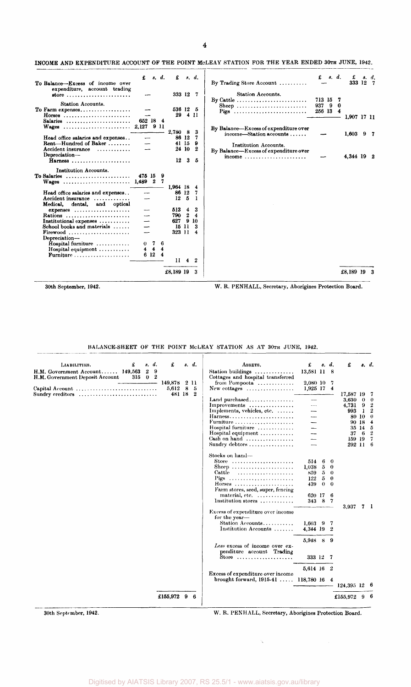#### INCOME AND EXPENDITURE ACCOUNT OF THE POINT MCLEAY STATION FOR THE YEAR ENDED 30TH JUNE, 1942.

| To Balance-Excess of income over                                                           | £                               | s. d. |                              | £                       | 8. d.                   |                             | By Trading Store Account                                                                    | £             |     | s. d.  | £<br>333 12 7 |   | s. d. |
|--------------------------------------------------------------------------------------------|---------------------------------|-------|------------------------------|-------------------------|-------------------------|-----------------------------|---------------------------------------------------------------------------------------------|---------------|-----|--------|---------------|---|-------|
| expenditure, account trading<br>store                                                      |                                 |       |                              | 333 12                  |                         | -7                          | <b>Station Accounts.</b><br>By Cattle $\dots \dots \dots \dots \dots \dots \dots \dots$     | 713 15        |     | 7      |               |   |       |
| <b>Station Accounts.</b><br>To Farm expenses<br>Horses                                     | 652 18 4                        |       |                              | 536 12 5<br>29          |                         | 4 H                         | Sheep<br>Pigs                                                                               | 937<br>256 13 | - 9 | 0<br>4 | 1,907 17 11   |   |       |
| Salaries                                                                                   |                                 |       |                              | 2,780 8                 |                         | 3                           | By Balance—Excess of expenditure over<br>income—Station accounts                            |               |     |        | 1,603         | 9 |       |
| Head office salaries and expenses<br>Rent-Hundred of Baker<br>Accident insurance           |                                 |       |                              | 86 12<br>41 15<br>24 10 |                         | 7<br>-9<br>$\boldsymbol{2}$ | Institution Accounts.                                                                       |               |     |        |               |   |       |
| Depreciation-<br>Harness                                                                   |                                 |       |                              | 12                      | 3                       | 5                           | By Balance-Excess of expenditure over<br>income $\ldots \ldots \ldots \ldots \ldots \ldots$ |               |     |        | 4,344 19 2    |   |       |
| Institution Accounts.<br>To Salaries                                                       | 475 15                          |       | -9                           | 1.964 18                |                         | 4                           |                                                                                             |               |     |        |               |   |       |
| Head office salaries and expenses<br>Accident insurance<br>Medical,<br>dental, and optical | --<br>---                       |       |                              | 86 12<br>12             | -5                      | 1                           |                                                                                             |               |     |        |               |   |       |
| $expeness$                                                                                 |                                 |       |                              | 513                     | 4                       | 3                           |                                                                                             |               |     |        |               |   |       |
| Rations<br>Institutional expenses $\dots\dots\dots$                                        | ---<br>$\overline{\phantom{0}}$ |       |                              | 790<br>627              | $\boldsymbol{2}$<br>9   | 4<br>10                     |                                                                                             |               |     |        |               |   |       |
| School books and materials                                                                 | —                               |       |                              | 15                      | -11                     |                             |                                                                                             |               |     |        |               |   |       |
| Firewood<br>Depreciation-                                                                  | --                              |       |                              | 323 11                  |                         | 4                           |                                                                                             |               |     |        |               |   |       |
| Hospital furniture                                                                         | 0                               | 7     | 6                            |                         |                         |                             |                                                                                             |               |     |        |               |   |       |
| Hospital equipment $\ldots \ldots \ldots$                                                  | 4                               | 4     | 4<br>$\overline{\mathbf{4}}$ |                         |                         |                             |                                                                                             |               |     |        |               |   |       |
| Furniture                                                                                  | 6 12                            |       |                              | $\mathbf{H}$            | $\overline{\mathbf{4}}$ | $\boldsymbol{2}$            |                                                                                             |               |     |        |               |   |       |
|                                                                                            |                                 |       |                              | £8,189 19               |                         |                             |                                                                                             |               |     |        | £8,189 19     |   |       |

30th September, 1942. W. R. PENHALL, Secretary, Aborigines Protection Board.

BALANCE-SHEET OF THE POINT MCLEAY STATION AS AT 30TH JUNE, 1942.

| s. d.<br>LIABILITIES.<br>£<br>H.M. Government Account 149,563<br>$\boldsymbol{2}$<br>-9        | £                          |   | s. d.                        | ASSETS.<br>Station buildings                                                                                                                                                                  | £<br>13,581 11 8                                       |                                         | s. d.                                                        | £                                                     |                                             | s. d.                                                                 |
|------------------------------------------------------------------------------------------------|----------------------------|---|------------------------------|-----------------------------------------------------------------------------------------------------------------------------------------------------------------------------------------------|--------------------------------------------------------|-----------------------------------------|--------------------------------------------------------------|-------------------------------------------------------|---------------------------------------------|-----------------------------------------------------------------------|
| H.M. Government Deposit Account<br>315<br>$\bf{0}$<br>2<br>Capital Account<br>Sundry ereditors | 149.878<br>5,612<br>481 18 | 8 | 211<br>5<br>$\boldsymbol{2}$ | Cottages and hospital transferred<br>from Pompoota<br>New cottages $\dots\dots\dots\dots\dots$                                                                                                | 2,080 10 7<br>1,925 17 4                               |                                         |                                                              | 17,587 19                                             |                                             |                                                                       |
|                                                                                                |                            |   |                              | Land purchased<br>Improvements<br>Implements, vehicles, etc.<br>Harness<br>Furniture<br>Hospital furniture<br>Hospital equipment<br>$Cash on hand$<br>Sundry debtors                          | $\overline{\phantom{a}}$                               |                                         |                                                              | 3,630<br>4,731<br>993<br>35<br>37<br>159 19<br>292 11 | 0<br>9<br>-1<br>80 10<br>90 18<br>-14<br>-6 | -0<br>-2<br>2<br>$\mathbf{0}$<br>$\overline{4}$<br>-5<br>2<br>7<br>-6 |
|                                                                                                |                            |   |                              | Stocks on hand-<br>Store $\ldots \ldots \ldots \ldots \ldots \ldots \ldots$<br>Sheep<br>Cattle<br>Pigs<br>Horses<br>Farm stores, seed, super, fencing<br>material, etc.<br>Institution stores | 514<br>1,038<br>859<br>122<br>439<br>620 17 6<br>343 8 | -6<br>$5^{\circ}$<br>5<br>5<br>$\bf{0}$ | $\mathbf{0}$<br>$\bf{0}$<br>0<br>$\bf{0}$<br>$\bf{0}$<br>- 7 |                                                       |                                             |                                                                       |
|                                                                                                |                            |   |                              | Excess of expenditure over income<br>for the year-<br>Station Accounts<br>Institution Accounts                                                                                                | $1,603$ 9 7<br>4,344 19 2                              |                                         |                                                              | 3,937                                                 |                                             | -1                                                                    |
|                                                                                                |                            |   |                              | Less excess of income over ex-<br>penditure account Trading<br>Store                                                                                                                          | 5,948 8 9<br>333 12 7                                  |                                         |                                                              |                                                       |                                             |                                                                       |
|                                                                                                |                            |   |                              | <b>Excess of expenditure over income</b>                                                                                                                                                      | 5,614 16 2                                             |                                         |                                                              |                                                       |                                             |                                                                       |
|                                                                                                |                            |   |                              | brought forward, $1915-41$ 118,780 16 4                                                                                                                                                       |                                                        |                                         |                                                              | $124,395$ 12 6                                        |                                             |                                                                       |
|                                                                                                | £155,972 $9$               |   | -6                           |                                                                                                                                                                                               |                                                        |                                         |                                                              | £155,972                                              | 9                                           |                                                                       |

30th September, 1942. W. R. PENHALL, Secretary, Aborigines Protection Board.

 $\infty$  .